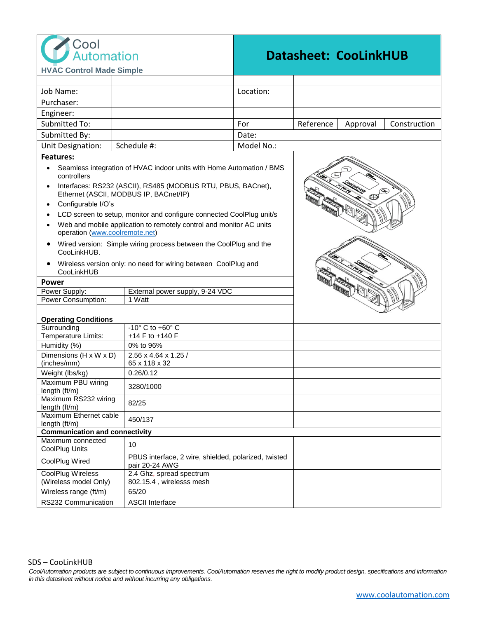

## **Datasheet: CooLinkHUB**

| Job Name:<br>Location:<br>Purchaser:<br>Engineer:<br><b>Submitted To:</b><br>Reference<br>For<br>Construction<br>Approval<br>Submitted By:<br>Date:<br>Unit Designation:<br>Schedule #:<br>Model No.:<br><b>Features:</b><br>Seamless integration of HVAC indoor units with Home Automation / BMS<br>controllers<br>Interfaces: RS232 (ASCII), RS485 (MODBUS RTU, PBUS, BACnet),<br>Ethernet (ASCII, MODBUS IP, BACnet/IP)<br>$\oplus$<br>Configurable I/O's<br>LCD screen to setup, monitor and configure connected CoolPlug unit/s<br>Web and mobile application to remotely control and monitor AC units<br>operation (www.coolremote.net)<br>Wired version: Simple wiring process between the CoolPlug and the<br>CooLinkHUB.<br>Wireless version only: no need for wiring between CoolPlug and<br>CooLinkHUB<br>Power<br>$\frac{1}{\sqrt{2}}$<br>Power Supply:<br>External power supply, 9-24 VDC<br>Power Consumption:<br>1 Watt<br><b>Operating Conditions</b><br>Surrounding<br>-10° C to +60° C<br>Temperature Limits:<br>+14 F to +140 F<br>Humidity (%)<br>0% to 96%<br>Dimensions $(H \times W \times D)$<br>2.56 x 4.64 x 1.25 /<br>(inches/mm)<br>65 x 118 x 32<br>Weight (lbs/kg)<br>0.26/0.12<br>Maximum PBU wiring<br>3280/1000<br>length (ft/m)<br>Maximum RS232 wiring<br>82/25<br>length (ft/m)<br>Maximum Ethernet cable<br>450/137<br>length (ft/m)<br><b>Communication and connectivity</b><br>Maximum connected<br>10<br>CoolPlug Units<br>PBUS interface, 2 wire, shielded, polarized, twisted<br>CoolPlug Wired<br>pair 20-24 AWG<br>CoolPlug Wireless<br>2.4 Ghz, spread spectrum<br>(Wireless model Only)<br>802.15.4, wirelesss mesh<br>Wireless range (ft/m)<br>65/20 | <b>HVAC Control Made Simple</b> |                        |  |  |  |  |
|-----------------------------------------------------------------------------------------------------------------------------------------------------------------------------------------------------------------------------------------------------------------------------------------------------------------------------------------------------------------------------------------------------------------------------------------------------------------------------------------------------------------------------------------------------------------------------------------------------------------------------------------------------------------------------------------------------------------------------------------------------------------------------------------------------------------------------------------------------------------------------------------------------------------------------------------------------------------------------------------------------------------------------------------------------------------------------------------------------------------------------------------------------------------------------------------------------------------------------------------------------------------------------------------------------------------------------------------------------------------------------------------------------------------------------------------------------------------------------------------------------------------------------------------------------------------------------------------------------------------------------------------------------------------------------------------------------|---------------------------------|------------------------|--|--|--|--|
|                                                                                                                                                                                                                                                                                                                                                                                                                                                                                                                                                                                                                                                                                                                                                                                                                                                                                                                                                                                                                                                                                                                                                                                                                                                                                                                                                                                                                                                                                                                                                                                                                                                                                                     |                                 |                        |  |  |  |  |
|                                                                                                                                                                                                                                                                                                                                                                                                                                                                                                                                                                                                                                                                                                                                                                                                                                                                                                                                                                                                                                                                                                                                                                                                                                                                                                                                                                                                                                                                                                                                                                                                                                                                                                     |                                 |                        |  |  |  |  |
|                                                                                                                                                                                                                                                                                                                                                                                                                                                                                                                                                                                                                                                                                                                                                                                                                                                                                                                                                                                                                                                                                                                                                                                                                                                                                                                                                                                                                                                                                                                                                                                                                                                                                                     |                                 |                        |  |  |  |  |
|                                                                                                                                                                                                                                                                                                                                                                                                                                                                                                                                                                                                                                                                                                                                                                                                                                                                                                                                                                                                                                                                                                                                                                                                                                                                                                                                                                                                                                                                                                                                                                                                                                                                                                     |                                 |                        |  |  |  |  |
|                                                                                                                                                                                                                                                                                                                                                                                                                                                                                                                                                                                                                                                                                                                                                                                                                                                                                                                                                                                                                                                                                                                                                                                                                                                                                                                                                                                                                                                                                                                                                                                                                                                                                                     |                                 |                        |  |  |  |  |
|                                                                                                                                                                                                                                                                                                                                                                                                                                                                                                                                                                                                                                                                                                                                                                                                                                                                                                                                                                                                                                                                                                                                                                                                                                                                                                                                                                                                                                                                                                                                                                                                                                                                                                     |                                 |                        |  |  |  |  |
|                                                                                                                                                                                                                                                                                                                                                                                                                                                                                                                                                                                                                                                                                                                                                                                                                                                                                                                                                                                                                                                                                                                                                                                                                                                                                                                                                                                                                                                                                                                                                                                                                                                                                                     |                                 |                        |  |  |  |  |
|                                                                                                                                                                                                                                                                                                                                                                                                                                                                                                                                                                                                                                                                                                                                                                                                                                                                                                                                                                                                                                                                                                                                                                                                                                                                                                                                                                                                                                                                                                                                                                                                                                                                                                     |                                 |                        |  |  |  |  |
|                                                                                                                                                                                                                                                                                                                                                                                                                                                                                                                                                                                                                                                                                                                                                                                                                                                                                                                                                                                                                                                                                                                                                                                                                                                                                                                                                                                                                                                                                                                                                                                                                                                                                                     |                                 |                        |  |  |  |  |
|                                                                                                                                                                                                                                                                                                                                                                                                                                                                                                                                                                                                                                                                                                                                                                                                                                                                                                                                                                                                                                                                                                                                                                                                                                                                                                                                                                                                                                                                                                                                                                                                                                                                                                     |                                 |                        |  |  |  |  |
|                                                                                                                                                                                                                                                                                                                                                                                                                                                                                                                                                                                                                                                                                                                                                                                                                                                                                                                                                                                                                                                                                                                                                                                                                                                                                                                                                                                                                                                                                                                                                                                                                                                                                                     |                                 |                        |  |  |  |  |
|                                                                                                                                                                                                                                                                                                                                                                                                                                                                                                                                                                                                                                                                                                                                                                                                                                                                                                                                                                                                                                                                                                                                                                                                                                                                                                                                                                                                                                                                                                                                                                                                                                                                                                     |                                 |                        |  |  |  |  |
|                                                                                                                                                                                                                                                                                                                                                                                                                                                                                                                                                                                                                                                                                                                                                                                                                                                                                                                                                                                                                                                                                                                                                                                                                                                                                                                                                                                                                                                                                                                                                                                                                                                                                                     |                                 |                        |  |  |  |  |
|                                                                                                                                                                                                                                                                                                                                                                                                                                                                                                                                                                                                                                                                                                                                                                                                                                                                                                                                                                                                                                                                                                                                                                                                                                                                                                                                                                                                                                                                                                                                                                                                                                                                                                     |                                 |                        |  |  |  |  |
|                                                                                                                                                                                                                                                                                                                                                                                                                                                                                                                                                                                                                                                                                                                                                                                                                                                                                                                                                                                                                                                                                                                                                                                                                                                                                                                                                                                                                                                                                                                                                                                                                                                                                                     |                                 |                        |  |  |  |  |
|                                                                                                                                                                                                                                                                                                                                                                                                                                                                                                                                                                                                                                                                                                                                                                                                                                                                                                                                                                                                                                                                                                                                                                                                                                                                                                                                                                                                                                                                                                                                                                                                                                                                                                     |                                 |                        |  |  |  |  |
|                                                                                                                                                                                                                                                                                                                                                                                                                                                                                                                                                                                                                                                                                                                                                                                                                                                                                                                                                                                                                                                                                                                                                                                                                                                                                                                                                                                                                                                                                                                                                                                                                                                                                                     |                                 |                        |  |  |  |  |
|                                                                                                                                                                                                                                                                                                                                                                                                                                                                                                                                                                                                                                                                                                                                                                                                                                                                                                                                                                                                                                                                                                                                                                                                                                                                                                                                                                                                                                                                                                                                                                                                                                                                                                     |                                 |                        |  |  |  |  |
|                                                                                                                                                                                                                                                                                                                                                                                                                                                                                                                                                                                                                                                                                                                                                                                                                                                                                                                                                                                                                                                                                                                                                                                                                                                                                                                                                                                                                                                                                                                                                                                                                                                                                                     |                                 |                        |  |  |  |  |
|                                                                                                                                                                                                                                                                                                                                                                                                                                                                                                                                                                                                                                                                                                                                                                                                                                                                                                                                                                                                                                                                                                                                                                                                                                                                                                                                                                                                                                                                                                                                                                                                                                                                                                     |                                 |                        |  |  |  |  |
|                                                                                                                                                                                                                                                                                                                                                                                                                                                                                                                                                                                                                                                                                                                                                                                                                                                                                                                                                                                                                                                                                                                                                                                                                                                                                                                                                                                                                                                                                                                                                                                                                                                                                                     |                                 |                        |  |  |  |  |
|                                                                                                                                                                                                                                                                                                                                                                                                                                                                                                                                                                                                                                                                                                                                                                                                                                                                                                                                                                                                                                                                                                                                                                                                                                                                                                                                                                                                                                                                                                                                                                                                                                                                                                     |                                 |                        |  |  |  |  |
|                                                                                                                                                                                                                                                                                                                                                                                                                                                                                                                                                                                                                                                                                                                                                                                                                                                                                                                                                                                                                                                                                                                                                                                                                                                                                                                                                                                                                                                                                                                                                                                                                                                                                                     |                                 |                        |  |  |  |  |
|                                                                                                                                                                                                                                                                                                                                                                                                                                                                                                                                                                                                                                                                                                                                                                                                                                                                                                                                                                                                                                                                                                                                                                                                                                                                                                                                                                                                                                                                                                                                                                                                                                                                                                     |                                 |                        |  |  |  |  |
|                                                                                                                                                                                                                                                                                                                                                                                                                                                                                                                                                                                                                                                                                                                                                                                                                                                                                                                                                                                                                                                                                                                                                                                                                                                                                                                                                                                                                                                                                                                                                                                                                                                                                                     |                                 |                        |  |  |  |  |
|                                                                                                                                                                                                                                                                                                                                                                                                                                                                                                                                                                                                                                                                                                                                                                                                                                                                                                                                                                                                                                                                                                                                                                                                                                                                                                                                                                                                                                                                                                                                                                                                                                                                                                     |                                 |                        |  |  |  |  |
|                                                                                                                                                                                                                                                                                                                                                                                                                                                                                                                                                                                                                                                                                                                                                                                                                                                                                                                                                                                                                                                                                                                                                                                                                                                                                                                                                                                                                                                                                                                                                                                                                                                                                                     |                                 |                        |  |  |  |  |
|                                                                                                                                                                                                                                                                                                                                                                                                                                                                                                                                                                                                                                                                                                                                                                                                                                                                                                                                                                                                                                                                                                                                                                                                                                                                                                                                                                                                                                                                                                                                                                                                                                                                                                     |                                 |                        |  |  |  |  |
|                                                                                                                                                                                                                                                                                                                                                                                                                                                                                                                                                                                                                                                                                                                                                                                                                                                                                                                                                                                                                                                                                                                                                                                                                                                                                                                                                                                                                                                                                                                                                                                                                                                                                                     |                                 |                        |  |  |  |  |
|                                                                                                                                                                                                                                                                                                                                                                                                                                                                                                                                                                                                                                                                                                                                                                                                                                                                                                                                                                                                                                                                                                                                                                                                                                                                                                                                                                                                                                                                                                                                                                                                                                                                                                     |                                 |                        |  |  |  |  |
|                                                                                                                                                                                                                                                                                                                                                                                                                                                                                                                                                                                                                                                                                                                                                                                                                                                                                                                                                                                                                                                                                                                                                                                                                                                                                                                                                                                                                                                                                                                                                                                                                                                                                                     |                                 |                        |  |  |  |  |
|                                                                                                                                                                                                                                                                                                                                                                                                                                                                                                                                                                                                                                                                                                                                                                                                                                                                                                                                                                                                                                                                                                                                                                                                                                                                                                                                                                                                                                                                                                                                                                                                                                                                                                     |                                 |                        |  |  |  |  |
|                                                                                                                                                                                                                                                                                                                                                                                                                                                                                                                                                                                                                                                                                                                                                                                                                                                                                                                                                                                                                                                                                                                                                                                                                                                                                                                                                                                                                                                                                                                                                                                                                                                                                                     |                                 |                        |  |  |  |  |
|                                                                                                                                                                                                                                                                                                                                                                                                                                                                                                                                                                                                                                                                                                                                                                                                                                                                                                                                                                                                                                                                                                                                                                                                                                                                                                                                                                                                                                                                                                                                                                                                                                                                                                     |                                 |                        |  |  |  |  |
|                                                                                                                                                                                                                                                                                                                                                                                                                                                                                                                                                                                                                                                                                                                                                                                                                                                                                                                                                                                                                                                                                                                                                                                                                                                                                                                                                                                                                                                                                                                                                                                                                                                                                                     |                                 |                        |  |  |  |  |
|                                                                                                                                                                                                                                                                                                                                                                                                                                                                                                                                                                                                                                                                                                                                                                                                                                                                                                                                                                                                                                                                                                                                                                                                                                                                                                                                                                                                                                                                                                                                                                                                                                                                                                     | RS232 Communication             | <b>ASCII Interface</b> |  |  |  |  |

CoolAutomation products are subject to continuous improvements. CoolAutomation reserves the right to modify product design, specifications and information *in this datasheet without notice and without incurring any obligations.*